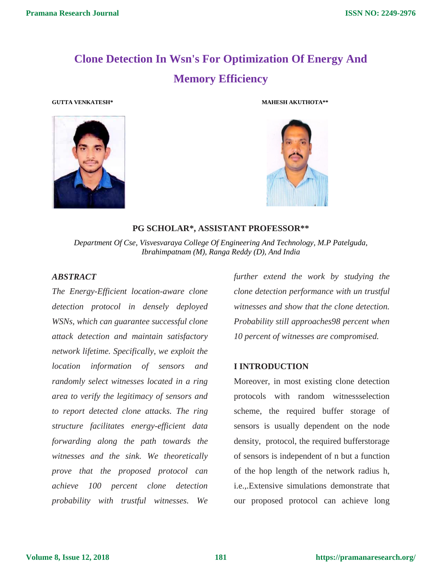# **Clone Detection In Wsn's For Optimization Of Energy And Memory Efficiency**



**GUTTA VENKATESH\* MAHESH AKUTHOTA\*\***



**PG SCHOLAR\*, ASSISTANT PROFESSOR\*\***

*Department Of Cse, Visvesvaraya College Of Engineering And Technology, M.P Patelguda, Ibrahimpatnam (M), Ranga Reddy (D), And India*

#### *ABSTRACT*

*The Energy-Efficient location-aware clone detection protocol in densely deployed WSNs, which can guarantee successful clone attack detection and maintain satisfactory network lifetime. Specifically, we exploit the location information of sensors and randomly select witnesses located in a ring area to verify the legitimacy of sensors and to report detected clone attacks. The ring structure facilitates energy-efficient data forwarding along the path towards the witnesses and the sink. We theoretically prove that the proposed protocol can achieve 100 percent clone detection probability with trustful witnesses. We* 

*further extend the work by studying the clone detection performance with un trustful witnesses and show that the clone detection. Probability still approaches98 percent when 10 percent of witnesses are compromised.*

#### **I INTRODUCTION**

Moreover, in most existing clone detection protocols with random witnessselection scheme, the required buffer storage of sensors is usually dependent on the node density, protocol, the required bufferstorage of sensors is independent of n but a function of the hop length of the network radius h, i.e.,.Extensive simulations demonstrate that our proposed protocol can achieve long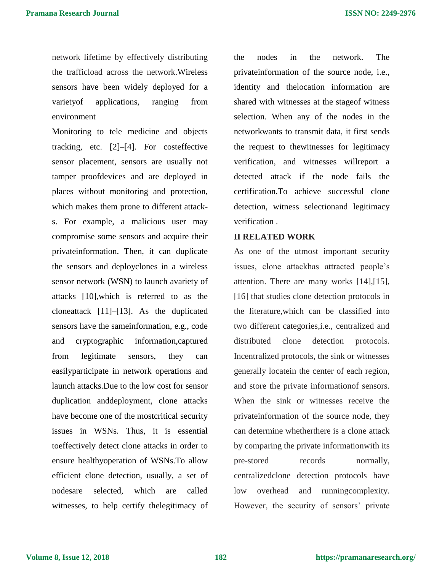network lifetime by effectively distributing the trafficload across the network.Wireless sensors have been widely deployed for a varietyof applications, ranging from environment

Monitoring to tele medicine and objects tracking, etc. [2]–[4]. For costeffective sensor placement, sensors are usually not tamper proofdevices and are deployed in places without monitoring and protection, which makes them prone to different attacks. For example, a malicious user may compromise some sensors and acquire their privateinformation. Then, it can duplicate the sensors and deployclones in a wireless sensor network (WSN) to launch avariety of attacks [10],which is referred to as the cloneattack [11]–[13]. As the duplicated sensors have the sameinformation, e.g., code and cryptographic information,captured from legitimate sensors, they can easilyparticipate in network operations and launch attacks.Due to the low cost for sensor duplication anddeployment, clone attacks have become one of the mostcritical security issues in WSNs. Thus, it is essential toeffectively detect clone attacks in order to ensure healthyoperation of WSNs.To allow efficient clone detection, usually, a set of nodesare selected, which are called witnesses, to help certify thelegitimacy of the nodes in the network. The privateinformation of the source node, i.e., identity and thelocation information are shared with witnesses at the stageof witness selection. When any of the nodes in the networkwants to transmit data, it first sends the request to thewitnesses for legitimacy verification, and witnesses willreport a detected attack if the node fails the certification.To achieve successful clone detection, witness selectionand legitimacy verification .

#### **II RELATED WORK**

As one of the utmost important security issues, clone attackhas attracted people's attention. There are many works [14],[15], [16] that studies clone detection protocols in the literature,which can be classified into two different categories,i.e., centralized and distributed clone detection protocols. Incentralized protocols, the sink or witnesses generally locatein the center of each region, and store the private informationof sensors. When the sink or witnesses receive the privateinformation of the source node, they can determine whetherthere is a clone attack by comparing the private informationwith its pre-stored records normally, centralizedclone detection protocols have low overhead and runningcomplexity. However, the security of sensors' private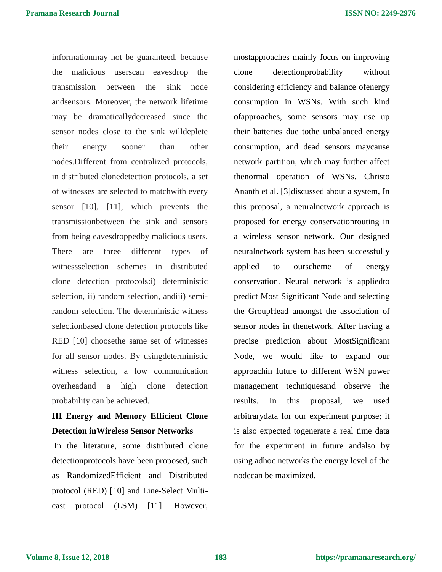informationmay not be guaranteed, because the malicious userscan eavesdrop the transmission between the sink node andsensors. Moreover, the network lifetime may be dramaticallydecreased since the sensor nodes close to the sink willdeplete their energy sooner than other nodes.Different from centralized protocols, in distributed clonedetection protocols, a set of witnesses are selected to matchwith every sensor [10], [11], which prevents the transmissionbetween the sink and sensors from being eavesdroppedby malicious users. There are three different types of witnessselection schemes in distributed clone detection protocols:i) deterministic selection, ii) random selection, andiii) semirandom selection. The deterministic witness selectionbased clone detection protocols like RED [10] choosethe same set of witnesses for all sensor nodes. By usingdeterministic witness selection, a low communication overheadand a high clone detection probability can be achieved.

## **III Energy and Memory Efficient Clone Detection inWireless Sensor Networks**

In the literature, some distributed clone detectionprotocols have been proposed, such as RandomizedEfficient and Distributed protocol (RED) [10] and Line-Select Multicast protocol (LSM) [11]. However, mostapproaches mainly focus on improving clone detectionprobability without considering efficiency and balance ofenergy consumption in WSNs. With such kind ofapproaches, some sensors may use up their batteries due tothe unbalanced energy consumption, and dead sensors maycause network partition, which may further affect thenormal operation of WSNs. Christo Ananth et al. [3]discussed about a system, In this proposal, a neuralnetwork approach is proposed for energy conservationrouting in a wireless sensor network. Our designed neuralnetwork system has been successfully applied to ourscheme of energy conservation. Neural network is appliedto predict Most Significant Node and selecting the GroupHead amongst the association of sensor nodes in thenetwork. After having a precise prediction about MostSignificant Node, we would like to expand our approachin future to different WSN power management techniquesand observe the results. In this proposal, we used arbitrarydata for our experiment purpose; it is also expected togenerate a real time data for the experiment in future andalso by using adhoc networks the energy level of the nodecan be maximized.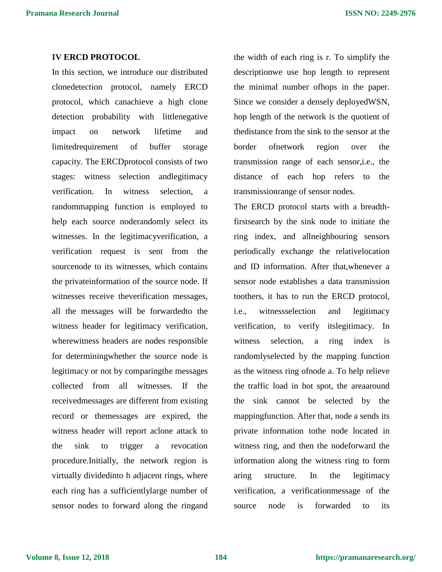#### **IV ERCD PROTOCOL**

In this section, we introduce our distributed clonedetection protocol, namely ERCD protocol, which canachieve a high clone detection probability with littlenegative impact on network lifetime and limitedrequirement of buffer storage capacity. The ERCDprotocol consists of two stages: witness selection andlegitimacy verification. In witness selection, a randommapping function is employed to help each source noderandomly select its witnesses. In the legitimacyverification, a verification request is sent from the sourcenode to its witnesses, which contains the privateinformation of the source node. If witnesses receive theverification messages, all the messages will be forwardedto the witness header for legitimacy verification, wherewitness headers are nodes responsible for determiningwhether the source node is legitimacy or not by comparingthe messages collected from all witnesses. If the receivedmessages are different from existing record or themessages are expired, the witness header will report aclone attack to the sink to trigger a revocation procedure.Initially, the network region is virtually dividedinto h adjacent rings, where each ring has a sufficientlylarge number of sensor nodes to forward along the ringand

the width of each ring is r. To simplify the descriptionwe use hop length to represent the minimal number ofhops in the paper. Since we consider a densely deployedWSN, hop length of the network is the quotient of thedistance from the sink to the sensor at the border ofnetwork region over the transmission range of each sensor,i.e., the distance of each hop refers to the transmissionrange of sensor nodes.

The ERCD protocol starts with a breadthfirstsearch by the sink node to initiate the ring index, and allneighbouring sensors periodically exchange the relativelocation and ID information. After that,whenever a sensor node establishes a data transmission toothers, it has to run the ERCD protocol, i.e., witnessselection and legitimacy verification, to verify itslegitimacy. In witness selection, a ring index is randomlyselected by the mapping function as the witness ring ofnode a. To help relieve the traffic load in hot spot, the areaaround the sink cannot be selected by the mappingfunction. After that, node a sends its private information tothe node located in witness ring, and then the nodeforward the information along the witness ring to form aring structure. In the legitimacy verification, a verificationmessage of the source node is forwarded to its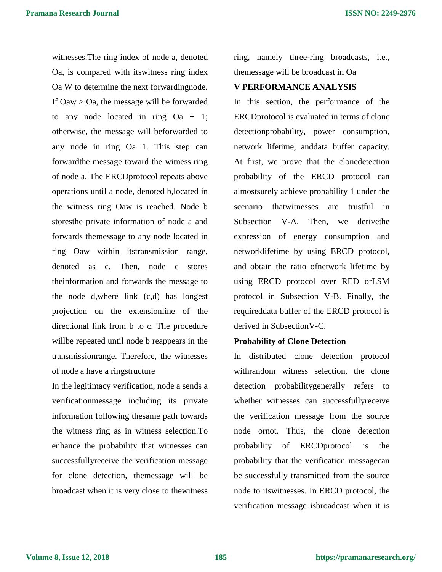witnesses.The ring index of node a, denoted Oa, is compared with itswitness ring index Oa W to determine the next forwardingnode. If Oaw > Oa, the message will be forwarded to any node located in ring  $Oa + 1$ ; otherwise, the message will beforwarded to any node in ring Oa 1. This step can forwardthe message toward the witness ring of node a. The ERCDprotocol repeats above operations until a node, denoted b,located in the witness ring Oaw is reached. Node b storesthe private information of node a and forwards themessage to any node located in ring Oaw within itstransmission range, denoted as c. Then, node c stores theinformation and forwards the message to the node d,where link (c,d) has longest projection on the extensionline of the directional link from b to c. The procedure willbe repeated until node b reappears in the transmissionrange. Therefore, the witnesses of node a have a ringstructure

In the legitimacy verification, node a sends a verificationmessage including its private information following thesame path towards the witness ring as in witness selection.To enhance the probability that witnesses can successfullyreceive the verification message for clone detection, themessage will be broadcast when it is very close to thewitness

ring, namely three-ring broadcasts, i.e., themessage will be broadcast in Oa

#### **V PERFORMANCE ANALYSIS**

In this section, the performance of the ERCDprotocol is evaluated in terms of clone detectionprobability, power consumption, network lifetime, anddata buffer capacity. At first, we prove that the clonedetection probability of the ERCD protocol can almostsurely achieve probability 1 under the scenario thatwitnesses are trustful in Subsection V-A. Then, we derivethe expression of energy consumption and networklifetime by using ERCD protocol, and obtain the ratio ofnetwork lifetime by using ERCD protocol over RED orLSM protocol in Subsection V-B. Finally, the requireddata buffer of the ERCD protocol is derived in SubsectionV-C.

#### **Probability of Clone Detection**

In distributed clone detection protocol withrandom witness selection, the clone detection probabilitygenerally refers to whether witnesses can successfullyreceive the verification message from the source node ornot. Thus, the clone detection probability of ERCDprotocol is the probability that the verification messagecan be successfully transmitted from the source node to itswitnesses. In ERCD protocol, the verification message isbroadcast when it is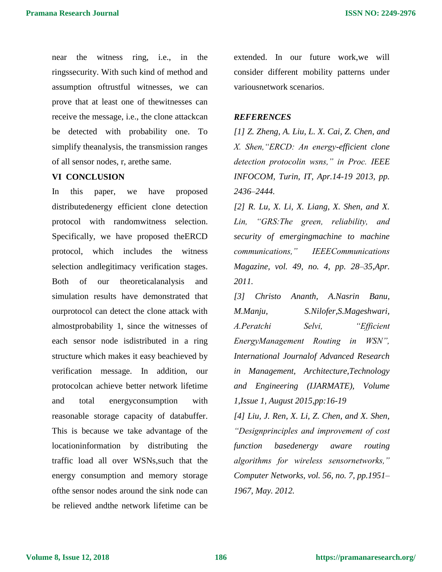near the witness ring, i.e., in the ringssecurity. With such kind of method and assumption oftrustful witnesses, we can prove that at least one of thewitnesses can receive the message, i.e., the clone attackcan be detected with probability one. To simplify theanalysis, the transmission ranges of all sensor nodes, r, arethe same.

### **VI CONCLUSION**

In this paper, we have proposed distributedenergy efficient clone detection protocol with randomwitness selection. Specifically, we have proposed theERCD protocol, which includes the witness selection andlegitimacy verification stages. Both of our theoreticalanalysis and simulation results have demonstrated that ourprotocol can detect the clone attack with almostprobability 1, since the witnesses of each sensor node isdistributed in a ring structure which makes it easy beachieved by verification message. In addition, our protocolcan achieve better network lifetime and total energyconsumption with reasonable storage capacity of databuffer. This is because we take advantage of the locationinformation by distributing the traffic load all over WSNs,such that the energy consumption and memory storage ofthe sensor nodes around the sink node can be relieved andthe network lifetime can be

extended. In our future work,we will consider different mobility patterns under variousnetwork scenarios.

#### *REFERENCES*

*[1] Z. Zheng, A. Liu, L. X. Cai, Z. Chen, and X. Shen,"ERCD: An energy-efficient clone detection protocolin wsns," in Proc. IEEE INFOCOM, Turin, IT, Apr.14-19 2013, pp. 2436–2444.*

*[2] R. Lu, X. Li, X. Liang, X. Shen, and X. Lin, "GRS:The green, reliability, and security of emergingmachine to machine communications," IEEECommunications Magazine, vol. 49, no. 4, pp. 28–35,Apr. 2011.*

*[3] Christo Ananth, A.Nasrin Banu, M.Manju, S.Nilofer,S.Mageshwari, A.Peratchi Selvi, "Efficient EnergyManagement Routing in WSN", International Journalof Advanced Research in Management, Architecture,Technology and Engineering (IJARMATE), Volume 1,Issue 1, August 2015,pp:16-19*

*[4] Liu, J. Ren, X. Li, Z. Chen, and X. Shen, "Designprinciples and improvement of cost function basedenergy aware routing algorithms for wireless sensornetworks," Computer Networks, vol. 56, no. 7, pp.1951– 1967, May. 2012.*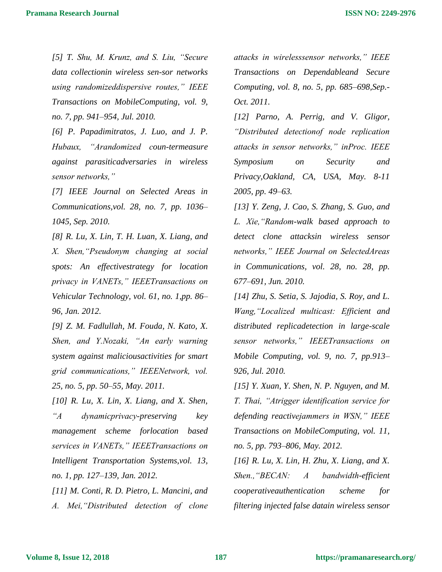*[5] T. Shu, M. Krunz, and S. Liu, "Secure data collectionin wireless sen-sor networks using randomizeddispersive routes," IEEE Transactions on MobileComputing, vol. 9, no. 7, pp. 941–954, Jul. 2010.*

*[6] P. Papadimitratos, J. Luo, and J. P. Hubaux, "Arandomized coun-termeasure against parasiticadversaries in wireless sensor networks,"*

*[7] IEEE Journal on Selected Areas in Communications,vol. 28, no. 7, pp. 1036– 1045, Sep. 2010.*

*[8] R. Lu, X. Lin, T. H. Luan, X. Liang, and X. Shen,"Pseudonym changing at social spots: An effectivestrategy for location privacy in VANETs," IEEETransactions on Vehicular Technology, vol. 61, no. 1,pp. 86– 96, Jan. 2012.*

*[9] Z. M. Fadlullah, M. Fouda, N. Kato, X. Shen, and Y.Nozaki, "An early warning system against maliciousactivities for smart grid communications," IEEENetwork, vol. 25, no. 5, pp. 50–55, May. 2011.*

*[10] R. Lu, X. Lin, X. Liang, and X. Shen, "A dynamicprivacy-preserving key management scheme forlocation based services in VANETs," IEEETransactions on Intelligent Transportation Systems,vol. 13, no. 1, pp. 127–139, Jan. 2012.*

*[11] M. Conti, R. D. Pietro, L. Mancini, and A. Mei,"Distributed detection of clone*  *attacks in wirelesssensor networks," IEEE Transactions on Dependableand Secure Computing, vol. 8, no. 5, pp. 685–698,Sep.- Oct. 2011.*

*[12] Parno, A. Perrig, and V. Gligor, "Distributed detectionof node replication attacks in sensor networks," inProc. IEEE Symposium on Security and Privacy,Oakland, CA, USA, May. 8-11 2005, pp. 49–63.*

*[13] Y. Zeng, J. Cao, S. Zhang, S. Guo, and L. Xie,"Random-walk based approach to detect clone attacksin wireless sensor networks," IEEE Journal on SelectedAreas in Communications, vol. 28, no. 28, pp. 677–691, Jun. 2010.*

*[14] Zhu, S. Setia, S. Jajodia, S. Roy, and L. Wang,"Localized multicast: Efficient and distributed replicadetection in large-scale sensor networks," IEEETransactions on Mobile Computing, vol. 9, no. 7, pp.913– 926, Jul. 2010.*

*[15] Y. Xuan, Y. Shen, N. P. Nguyen, and M. T. Thai, "Atrigger identification service for defending reactivejammers in WSN," IEEE Transactions on MobileComputing, vol. 11, no. 5, pp. 793–806, May. 2012.*

*[16] R. Lu, X. Lin, H. Zhu, X. Liang, and X. Shen.,"BECAN: A bandwidth-efficient cooperativeauthentication scheme for filtering injected false datain wireless sensor*